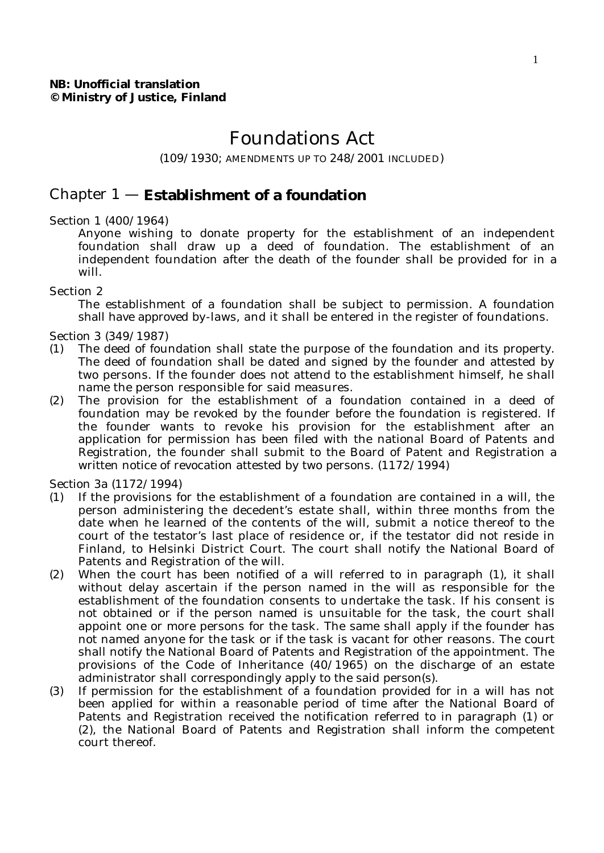# Foundations Act

(109/1930; AMENDMENTS UP TO 248/2001 INCLUDED)

# Chapter 1 — **Establishment of a foundation**

Section 1 (400/1964)

Anyone wishing to donate property for the establishment of an independent foundation shall draw up a deed of foundation. The establishment of an independent foundation after the death of the founder shall be provided for in a will.

#### Section 2

The establishment of a foundation shall be subject to permission. A foundation shall have approved by-laws, and it shall be entered in the register of foundations.

Section 3 (349/1987)

- (1) The deed of foundation shall state the purpose of the foundation and its property. The deed of foundation shall be dated and signed by the founder and attested by two persons. If the founder does not attend to the establishment himself, he shall name the person responsible for said measures.
- (2) The provision for the establishment of a foundation contained in a deed of foundation may be revoked by the founder before the foundation is registered. If the founder wants to revoke his provision for the establishment after an application for permission has been filed with the national Board of Patents and Registration, the founder shall submit to the Board of Patent and Registration a written notice of revocation attested by two persons. (1172/1994)

Section 3a (1172/1994)

- (1) If the provisions for the establishment of a foundation are contained in a will, the person administering the decedent's estate shall, within three months from the date when he learned of the contents of the will, submit a notice thereof to the court of the testator's last place of residence or, if the testator did not reside in Finland, to Helsinki District Court. The court shall notify the National Board of Patents and Registration of the will.
- (2) When the court has been notified of a will referred to in paragraph (1), it shall without delay ascertain if the person named in the will as responsible for the establishment of the foundation consents to undertake the task. If his consent is not obtained or if the person named is unsuitable for the task, the court shall appoint one or more persons for the task. The same shall apply if the founder has not named anyone for the task or if the task is vacant for other reasons. The court shall notify the National Board of Patents and Registration of the appointment. The provisions of the Code of Inheritance (40/1965) on the discharge of an estate administrator shall correspondingly apply to the said person(s).
- (3) If permission for the establishment of a foundation provided for in a will has not been applied for within a reasonable period of time after the National Board of Patents and Registration received the notification referred to in paragraph (1) or (2), the National Board of Patents and Registration shall inform the competent court thereof.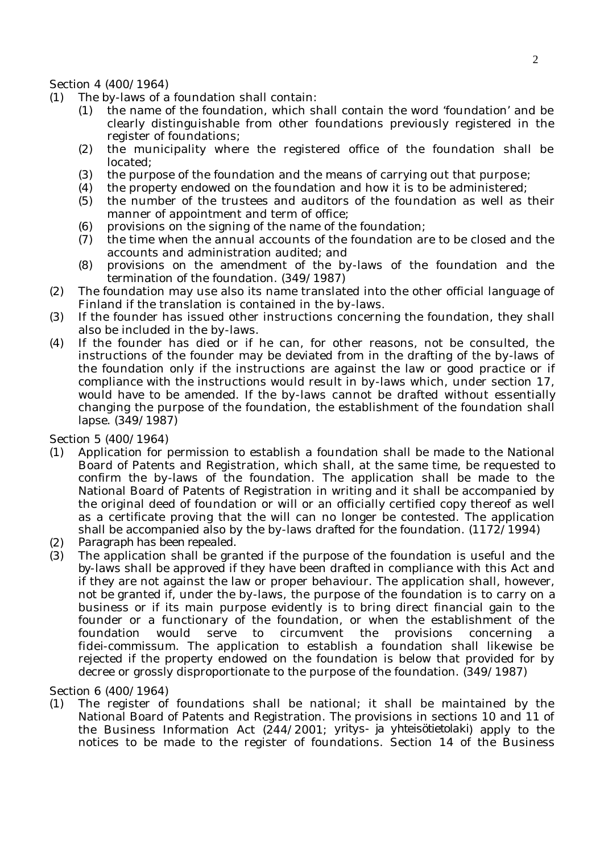Section 4 (400/1964)

- (1) The by-laws of a foundation shall contain:
	- (1) the name of the foundation, which shall contain the word 'foundation' and be clearly distinguishable from other foundations previously registered in the register of foundations;
	- (2) the municipality where the registered office of the foundation shall be located;
	- (3) the purpose of the foundation and the means of carrying out that purpose;
	- (4) the property endowed on the foundation and how it is to be administered;
	- (5) the number of the trustees and auditors of the foundation as well as their manner of appointment and term of office;
	- (6) provisions on the signing of the name of the foundation;
	- (7) the time when the annual accounts of the foundation are to be closed and the accounts and administration audited; and
	- (8) provisions on the amendment of the by-laws of the foundation and the termination of the foundation. (349/1987)
- (2) The foundation may use also its name translated into the other official language of Finland if the translation is contained in the by-laws.
- (3) If the founder has issued other instructions concerning the foundation, they shall also be included in the by-laws.
- (4) If the founder has died or if he can, for other reasons, not be consulted, the instructions of the founder may be deviated from in the drafting of the by-laws of the foundation only if the instructions are against the law or good practice or if compliance with the instructions would result in by-laws which, under section 17, would have to be amended. If the by-laws cannot be drafted without essentially changing the purpose of the foundation, the establishment of the foundation shall lapse. (349/1987)

Section 5 (400/1964)

- (1) Application for permission to establish a foundation shall be made to the National Board of Patents and Registration, which shall, at the same time, be requested to confirm the by-laws of the foundation. The application shall be made to the National Board of Patents of Registration in writing and it shall be accompanied by the original deed of foundation or will or an officially certified copy thereof as well as a certificate proving that the will can no longer be contested. The application shall be accompanied also by the by-laws drafted for the foundation.  $(1172/1994)$
- (2) *Paragraph has been repealed.*
- (3) The application shall be granted if the purpose of the foundation is useful and the by-laws shall be approved if they have been drafted in compliance with this Act and if they are not against the law or proper behaviour. The application shall, however, not be granted if, under the by-laws, the purpose of the foundation is to carry on a business or if its main purpose evidently is to bring direct financial gain to the founder or a functionary of the foundation, or when the establishment of the foundation would serve to circumvent the provisions concerning fidei-commissum. The application to establish a foundation shall likewise be rejected if the property endowed on the foundation is below that provided for by decree or grossly disproportionate to the purpose of the foundation. (349/1987)

Section 6 (400/1964)

(1) The register of foundations shall be national; it shall be maintained by the National Board of Patents and Registration. The provisions in sections 10 and 11 of the Business Information Act (244/2001; *yritys- ja yhteisötietolaki*) apply to the notices to be made to the register of foundations. Section 14 of the Business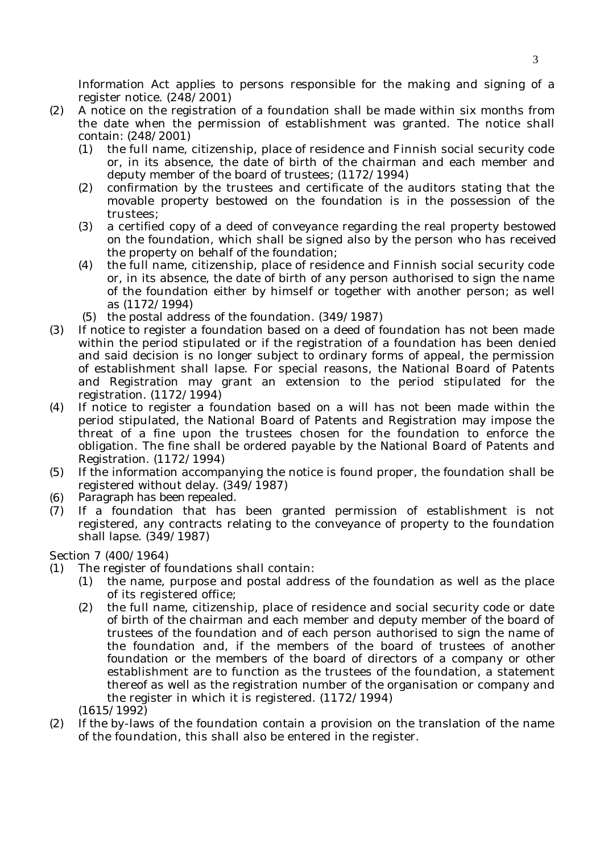Information Act applies to persons responsible for the making and signing of a register notice. (248/2001)

- (2) A notice on the registration of a foundation shall be made within six months from the date when the permission of establishment was granted. The notice shall contain: (248/2001)
	- (1) the full name, citizenship, place of residence and Finnish social security code or, in its absence, the date of birth of the chairman and each member and deputy member of the board of trustees; (1172/1994)
	- (2) confirmation by the trustees and certificate of the auditors stating that the movable property bestowed on the foundation is in the possession of the trustees;
	- (3) a certified copy of a deed of conveyance regarding the real property bestowed on the foundation, which shall be signed also by the person who has received the property on behalf of the foundation;
	- (4) the full name, citizenship, place of residence and Finnish social security code or, in its absence, the date of birth of any person authorised to sign the name of the foundation either by himself or together with another person; as well as (1172/1994)
	- (5) the postal address of the foundation. (349/1987)
- (3) If notice to register a foundation based on a deed of foundation has not been made within the period stipulated or if the registration of a foundation has been denied and said decision is no longer subject to ordinary forms of appeal, the permission of establishment shall lapse. For special reasons, the National Board of Patents and Registration may grant an extension to the period stipulated for the registration. (1172/1994)
- (4) If notice to register a foundation based on a will has not been made within the period stipulated, the National Board of Patents and Registration may impose the threat of a fine upon the trustees chosen for the foundation to enforce the obligation. The fine shall be ordered payable by the National Board of Patents and Registration. (1172/1994)
- (5) If the information accompanying the notice is found proper, the foundation shall be registered without delay. (349/1987)
- (6) *Paragraph has been repealed.*
- (7) If a foundation that has been granted permission of establishment is not registered, any contracts relating to the conveyance of property to the foundation shall lapse. (349/1987)

# Section 7 (400/1964)

- (1) The register of foundations shall contain:
	- (1) the name, purpose and postal address of the foundation as well as the place of its registered office;
	- (2) the full name, citizenship, place of residence and social security code or date of birth of the chairman and each member and deputy member of the board of trustees of the foundation and of each person authorised to sign the name of the foundation and, if the members of the board of trustees of another foundation or the members of the board of directors of a company or other establishment are to function as the trustees of the foundation, a statement thereof as well as the registration number of the organisation or company and the register in which it is registered. (1172/1994)
	- (1615/1992)
- (2) If the by-laws of the foundation contain a provision on the translation of the name of the foundation, this shall also be entered in the register.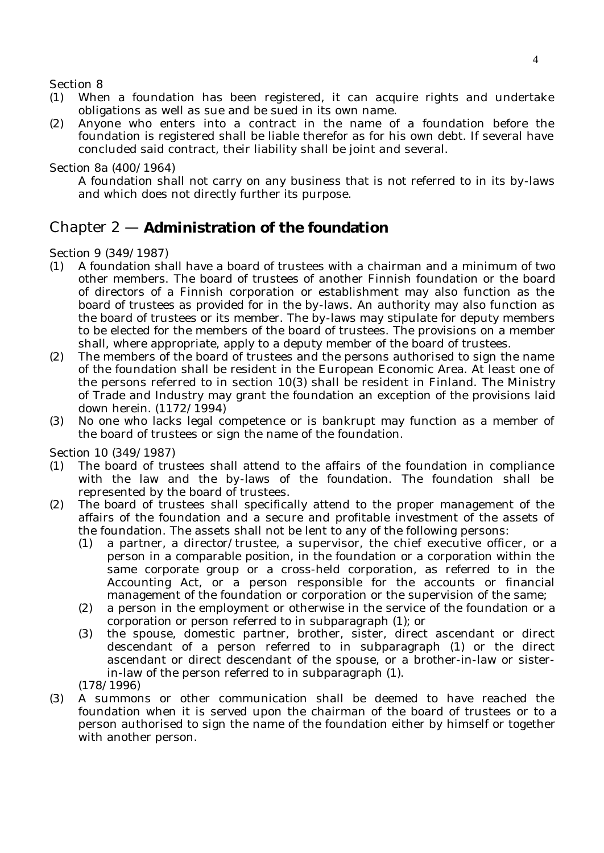Section 8

- (1) When a foundation has been registered, it can acquire rights and undertake obligations as well as sue and be sued in its own name.
- (2) Anyone who enters into a contract in the name of a foundation before the foundation is registered shall be liable therefor as for his own debt. If several have concluded said contract, their liability shall be joint and several.

Section 8a (400/1964)

A foundation shall not carry on any business that is not referred to in its by-laws and which does not directly further its purpose.

# Chapter 2 — **Administration of the foundation**

# Section 9 (349/1987)

- (1) A foundation shall have a board of trustees with a chairman and a minimum of two other members. The board of trustees of another Finnish foundation or the board of directors of a Finnish corporation or establishment may also function as the board of trustees as provided for in the by-laws. An authority may also function as the board of trustees or its member. The by-laws may stipulate for deputy members to be elected for the members of the board of trustees. The provisions on a member shall, where appropriate, apply to a deputy member of the board of trustees.
- (2) The members of the board of trustees and the persons authorised to sign the name of the foundation shall be resident in the European Economic Area. At least one of the persons referred to in section 10(3) shall be resident in Finland. The Ministry of Trade and Industry may grant the foundation an exception of the provisions laid down herein. (1172/1994)
- (3) No one who lacks legal competence or is bankrupt may function as a member of the board of trustees or sign the name of the foundation.

Section 10 (349/1987)

- (1) The board of trustees shall attend to the affairs of the foundation in compliance with the law and the by-laws of the foundation. The foundation shall be represented by the board of trustees.
- (2) The board of trustees shall specifically attend to the proper management of the affairs of the foundation and a secure and profitable investment of the assets of the foundation. The assets shall not be lent to any of the following persons:
	- (1) a partner, a director/trustee, a supervisor, the chief executive officer, or a person in a comparable position, in the foundation or a corporation within the same corporate group or a cross-held corporation, as referred to in the Accounting Act, or a person responsible for the accounts or financial management of the foundation or corporation or the supervision of the same;
	- (2) a person in the employment or otherwise in the service of the foundation or a corporation or person referred to in subparagraph (1); or
	- (3) the spouse, domestic partner, brother, sister, direct ascendant or direct descendant of a person referred to in subparagraph (1) or the direct ascendant or direct descendant of the spouse, or a brother-in-law or sisterin-law of the person referred to in subparagraph (1).

(178/1996)

(3) A summons or other communication shall be deemed to have reached the foundation when it is served upon the chairman of the board of trustees or to a person authorised to sign the name of the foundation either by himself or together with another person.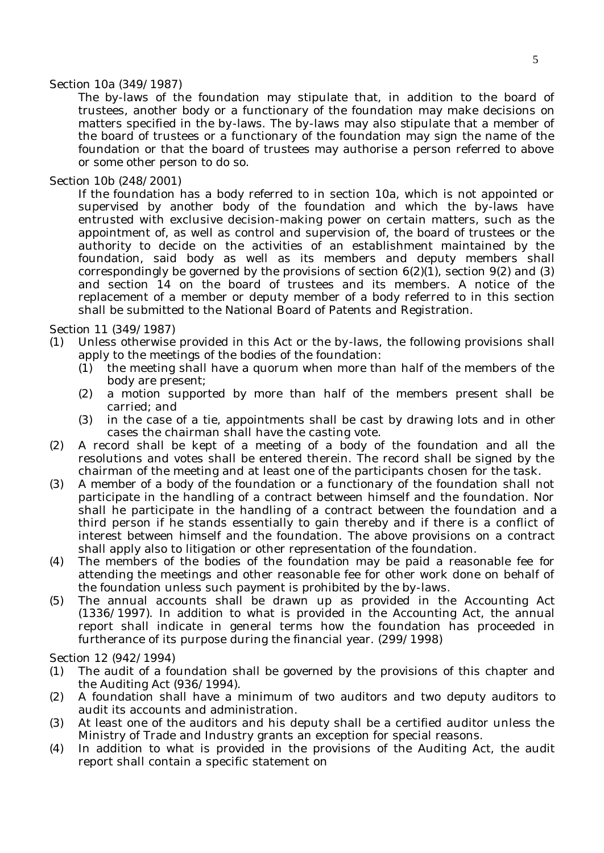### Section 10a (349/1987)

The by-laws of the foundation may stipulate that, in addition to the board of trustees, another body or a functionary of the foundation may make decisions on matters specified in the by-laws. The by-laws may also stipulate that a member of the board of trustees or a functionary of the foundation may sign the name of the foundation or that the board of trustees may authorise a person referred to above or some other person to do so.

# Section 10b (248/2001)

If the foundation has a body referred to in section 10a, which is not appointed or supervised by another body of the foundation and which the by-laws have entrusted with exclusive decision-making power on certain matters, such as the appointment of, as well as control and supervision of, the board of trustees or the authority to decide on the activities of an establishment maintained by the foundation, said body as well as its members and deputy members shall correspondingly be governed by the provisions of section  $6(2)(1)$ , section  $9(2)$  and  $(3)$ and section 14 on the board of trustees and its members. A notice of the replacement of a member or deputy member of a body referred to in this section shall be submitted to the National Board of Patents and Registration.

# Section 11 (349/1987)

- (1) Unless otherwise provided in this Act or the by-laws, the following provisions shall apply to the meetings of the bodies of the foundation:
	- (1) the meeting shall have a quorum when more than half of the members of the body are present;
	- (2) a motion supported by more than half of the members present shall be carried; and
	- (3) in the case of a tie, appointments shall be cast by drawing lots and in other cases the chairman shall have the casting vote.
- (2) A record shall be kept of a meeting of a body of the foundation and all the resolutions and votes shall be entered therein. The record shall be signed by the chairman of the meeting and at least one of the participants chosen for the task.
- (3) A member of a body of the foundation or a functionary of the foundation shall not participate in the handling of a contract between himself and the foundation. Nor shall he participate in the handling of a contract between the foundation and a third person if he stands essentially to gain thereby and if there is a conflict of interest between himself and the foundation. The above provisions on a contract shall apply also to litigation or other representation of the foundation.
- (4) The members of the bodies of the foundation may be paid a reasonable fee for attending the meetings and other reasonable fee for other work done on behalf of the foundation unless such payment is prohibited by the by-laws.
- (5) The annual accounts shall be drawn up as provided in the Accounting Act (1336/1997). In addition to what is provided in the Accounting Act, the annual report shall indicate in general terms how the foundation has proceeded in furtherance of its purpose during the financial year. (299/1998)

Section 12 (942/1994)

- (1) The audit of a foundation shall be governed by the provisions of this chapter and the Auditing Act (936/1994).
- (2) A foundation shall have a minimum of two auditors and two deputy auditors to audit its accounts and administration.
- (3) At least one of the auditors and his deputy shall be a certified auditor unless the Ministry of Trade and Industry grants an exception for special reasons.
- (4) In addition to what is provided in the provisions of the Auditing Act, the audit report shall contain a specific statement on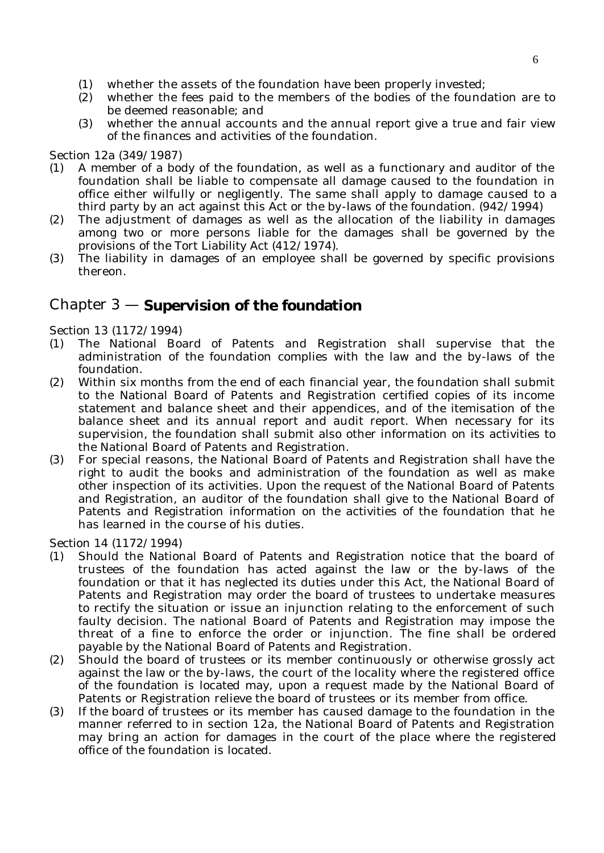- (1) whether the assets of the foundation have been properly invested;
- (2) whether the fees paid to the members of the bodies of the foundation are to be deemed reasonable; and
- (3) whether the annual accounts and the annual report give a true and fair view of the finances and activities of the foundation.

# Section 12a (349/1987)

- (1) A member of a body of the foundation, as well as a functionary and auditor of the foundation shall be liable to compensate all damage caused to the foundation in office either wilfully or negligently. The same shall apply to damage caused to a third party by an act against this Act or the by-laws of the foundation. (942/1994)
- (2) The adjustment of damages as well as the allocation of the liability in damages among two or more persons liable for the damages shall be governed by the provisions of the Tort Liability Act (412/1974).
- (3) The liability in damages of an employee shall be governed by specific provisions thereon.

# Chapter 3 — **Supervision of the foundation**

Section 13 (1172/1994)

- (1) The National Board of Patents and Registration shall supervise that the administration of the foundation complies with the law and the by-laws of the foundation.
- (2) Within six months from the end of each financial year, the foundation shall submit to the National Board of Patents and Registration certified copies of its income statement and balance sheet and their appendices, and of the itemisation of the balance sheet and its annual report and audit report. When necessary for its supervision, the foundation shall submit also other information on its activities to the National Board of Patents and Registration.
- (3) For special reasons, the National Board of Patents and Registration shall have the right to audit the books and administration of the foundation as well as make other inspection of its activities. Upon the request of the National Board of Patents and Registration, an auditor of the foundation shall give to the National Board of Patents and Registration information on the activities of the foundation that he has learned in the course of his duties.

Section 14 (1172/1994)

- (1) Should the National Board of Patents and Registration notice that the board of trustees of the foundation has acted against the law or the by-laws of the foundation or that it has neglected its duties under this Act, the National Board of Patents and Registration may order the board of trustees to undertake measures to rectify the situation or issue an injunction relating to the enforcement of such faulty decision. The national Board of Patents and Registration may impose the threat of a fine to enforce the order or injunction. The fine shall be ordered payable by the National Board of Patents and Registration.
- (2) Should the board of trustees or its member continuously or otherwise grossly act against the law or the by-laws, the court of the locality where the registered office of the foundation is located may, upon a request made by the National Board of Patents or Registration relieve the board of trustees or its member from office.
- (3) If the board of trustees or its member has caused damage to the foundation in the manner referred to in section 12a, the National Board of Patents and Registration may bring an action for damages in the court of the place where the registered office of the foundation is located.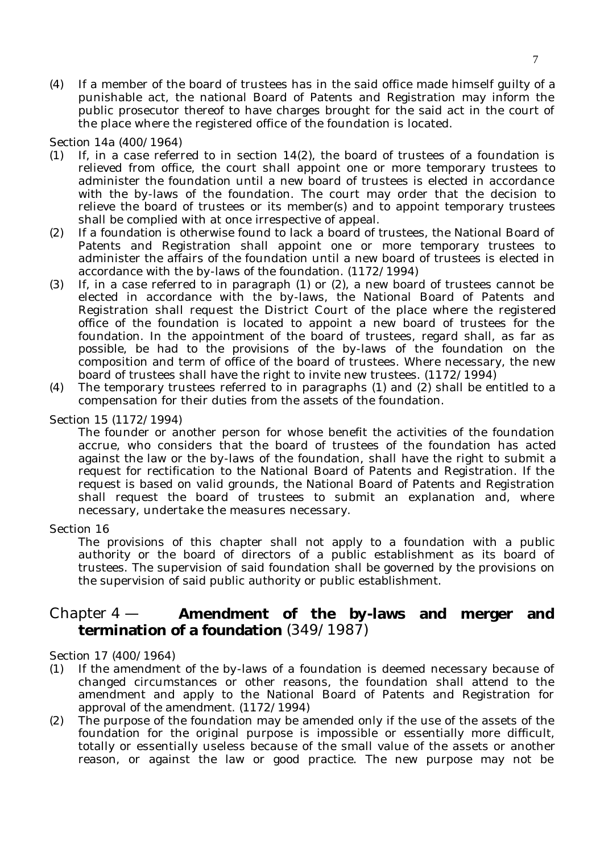(4) If a member of the board of trustees has in the said office made himself guilty of a punishable act, the national Board of Patents and Registration may inform the public prosecutor thereof to have charges brought for the said act in the court of the place where the registered office of the foundation is located.

Section 14a (400/1964)

- (1) If, in a case referred to in section  $14(2)$ , the board of trustees of a foundation is relieved from office, the court shall appoint one or more temporary trustees to administer the foundation until a new board of trustees is elected in accordance with the by-laws of the foundation. The court may order that the decision to relieve the board of trustees or its member(s) and to appoint temporary trustees shall be complied with at once irrespective of appeal.
- (2) If a foundation is otherwise found to lack a board of trustees, the National Board of Patents and Registration shall appoint one or more temporary trustees to administer the affairs of the foundation until a new board of trustees is elected in accordance with the by-laws of the foundation. (1172/1994)
- (3) If, in a case referred to in paragraph (1) or (2), a new board of trustees cannot be elected in accordance with the by-laws, the National Board of Patents and Registration shall request the District Court of the place where the registered office of the foundation is located to appoint a new board of trustees for the foundation. In the appointment of the board of trustees, regard shall, as far as possible, be had to the provisions of the by-laws of the foundation on the composition and term of office of the board of trustees. Where necessary, the new board of trustees shall have the right to invite new trustees. (1172/1994)
- (4) The temporary trustees referred to in paragraphs (1) and (2) shall be entitled to a compensation for their duties from the assets of the foundation.

### Section 15 (1172/1994)

The founder or another person for whose benefit the activities of the foundation accrue, who considers that the board of trustees of the foundation has acted against the law or the by-laws of the foundation, shall have the right to submit a request for rectification to the National Board of Patents and Registration. If the request is based on valid grounds, the National Board of Patents and Registration shall request the board of trustees to submit an explanation and, where necessary, undertake the measures necessary.

#### Section 16

The provisions of this chapter shall not apply to a foundation with a public authority or the board of directors of a public establishment as its board of trustees. The supervision of said foundation shall be governed by the provisions on the supervision of said public authority or public establishment.

# Chapter 4 — **Amendment of the by-laws and merger and termination of a foundation** (349/1987)

Section 17 (400/1964)

- (1) If the amendment of the by-laws of a foundation is deemed necessary because of changed circumstances or other reasons, the foundation shall attend to the amendment and apply to the National Board of Patents and Registration for approval of the amendment. (1172/1994)
- (2) The purpose of the foundation may be amended only if the use of the assets of the foundation for the original purpose is impossible or essentially more difficult, totally or essentially useless because of the small value of the assets or another reason, or against the law or good practice. The new purpose may not be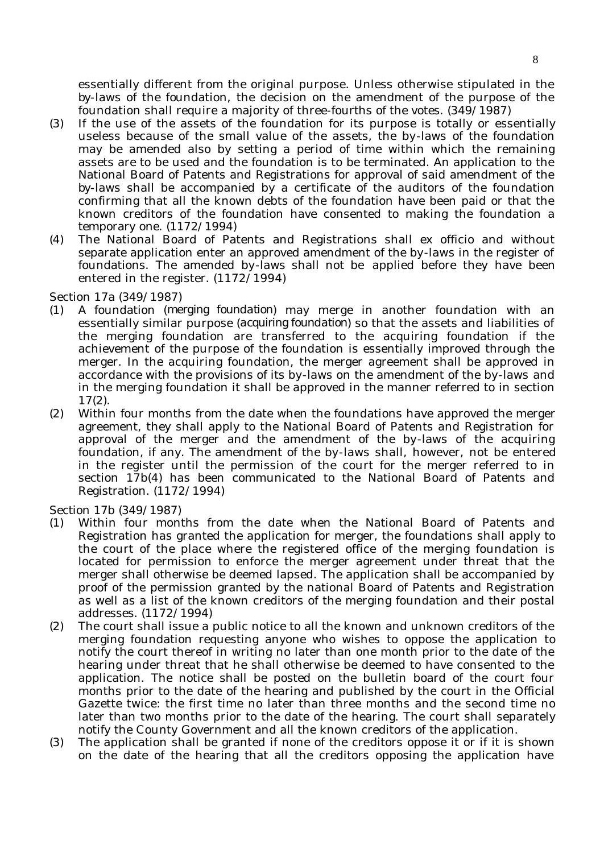essentially different from the original purpose. Unless otherwise stipulated in the by-laws of the foundation, the decision on the amendment of the purpose of the foundation shall require a majority of three-fourths of the votes. (349/1987)

- (3) If the use of the assets of the foundation for its purpose is totally or essentially useless because of the small value of the assets, the by-laws of the foundation may be amended also by setting a period of time within which the remaining assets are to be used and the foundation is to be terminated. An application to the National Board of Patents and Registrations for approval of said amendment of the by-laws shall be accompanied by a certificate of the auditors of the foundation confirming that all the known debts of the foundation have been paid or that the known creditors of the foundation have consented to making the foundation a temporary one. (1172/1994)
- (4) The National Board of Patents and Registrations shall ex officio and without separate application enter an approved amendment of the by-laws in the register of foundations. The amended by-laws shall not be applied before they have been entered in the register. (1172/1994)

Section 17a (349/1987)

- (1) A foundation (*merging foundation*) may merge in another foundation with an essentially similar purpose (*acquiring foundation*) so that the assets and liabilities of the merging foundation are transferred to the acquiring foundation if the achievement of the purpose of the foundation is essentially improved through the merger. In the acquiring foundation, the merger agreement shall be approved in accordance with the provisions of its by-laws on the amendment of the by-laws and in the merging foundation it shall be approved in the manner referred to in section 17(2).
- (2) Within four months from the date when the foundations have approved the merger agreement, they shall apply to the National Board of Patents and Registration for approval of the merger and the amendment of the by-laws of the acquiring foundation, if any. The amendment of the by-laws shall, however, not be entered in the register until the permission of the court for the merger referred to in section 17b(4) has been communicated to the National Board of Patents and Registration. (1172/1994)

Section 17b (349/1987)

- (1) Within four months from the date when the National Board of Patents and Registration has granted the application for merger, the foundations shall apply to the court of the place where the registered office of the merging foundation is located for permission to enforce the merger agreement under threat that the merger shall otherwise be deemed lapsed. The application shall be accompanied by proof of the permission granted by the national Board of Patents and Registration as well as a list of the known creditors of the merging foundation and their postal addresses. (1172/1994)
- (2) The court shall issue a public notice to all the known and unknown creditors of the merging foundation requesting anyone who wishes to oppose the application to notify the court thereof in writing no later than one month prior to the date of the hearing under threat that he shall otherwise be deemed to have consented to the application. The notice shall be posted on the bulletin board of the court four months prior to the date of the hearing and published by the court in the Official Gazette twice: the first time no later than three months and the second time no later than two months prior to the date of the hearing. The court shall separately notify the County Government and all the known creditors of the application.
- (3) The application shall be granted if none of the creditors oppose it or if it is shown on the date of the hearing that all the creditors opposing the application have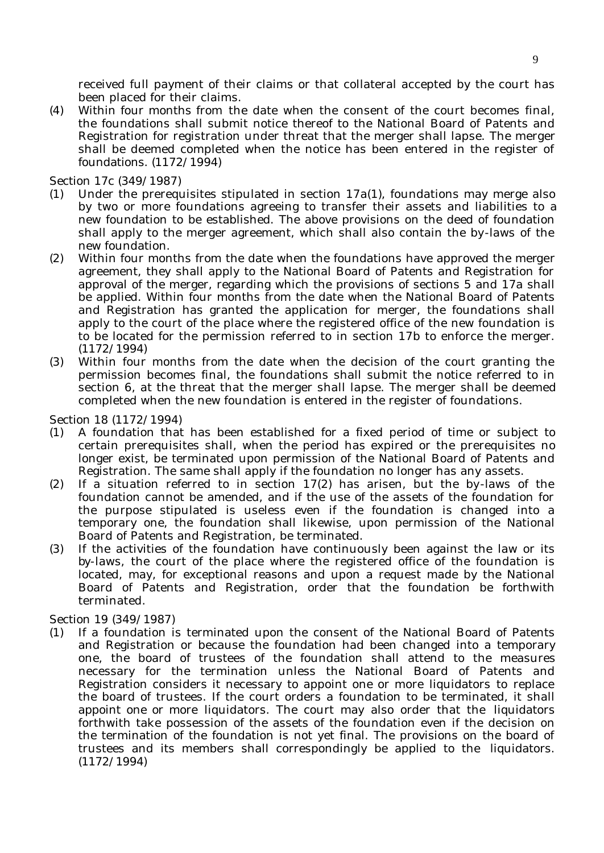received full payment of their claims or that collateral accepted by the court has been placed for their claims.

(4) Within four months from the date when the consent of the court becomes final, the foundations shall submit notice thereof to the National Board of Patents and Registration for registration under threat that the merger shall lapse. The merger shall be deemed completed when the notice has been entered in the register of foundations. (1172/1994)

Section 17c (349/1987)

- (1) Under the prerequisites stipulated in section 17a(1), foundations may merge also by two or more foundations agreeing to transfer their assets and liabilities to a new foundation to be established. The above provisions on the deed of foundation shall apply to the merger agreement, which shall also contain the by-laws of the new foundation.
- (2) Within four months from the date when the foundations have approved the merger agreement, they shall apply to the National Board of Patents and Registration for approval of the merger, regarding which the provisions of sections 5 and 17a shall be applied. Within four months from the date when the National Board of Patents and Registration has granted the application for merger, the foundations shall apply to the court of the place where the registered office of the new foundation is to be located for the permission referred to in section 17b to enforce the merger. (1172/1994)
- (3) Within four months from the date when the decision of the court granting the permission becomes final, the foundations shall submit the notice referred to in section 6, at the threat that the merger shall lapse. The merger shall be deemed completed when the new foundation is entered in the register of foundations.

Section 18 (1172/1994)

- (1) A foundation that has been established for a fixed period of time or subject to certain prerequisites shall, when the period has expired or the prerequisites no longer exist, be terminated upon permission of the National Board of Patents and Registration. The same shall apply if the foundation no longer has any assets.
- (2) If a situation referred to in section 17(2) has arisen, but the by-laws of the foundation cannot be amended, and if the use of the assets of the foundation for the purpose stipulated is useless even if the foundation is changed into a temporary one, the foundation shall likewise, upon permission of the National Board of Patents and Registration, be terminated.
- (3) If the activities of the foundation have continuously been against the law or its by-laws, the court of the place where the registered office of the foundation is located, may, for exceptional reasons and upon a request made by the National Board of Patents and Registration, order that the foundation be forthwith terminated.

Section 19 (349/1987)

(1) If a foundation is terminated upon the consent of the National Board of Patents and Registration or because the foundation had been changed into a temporary one, the board of trustees of the foundation shall attend to the measures necessary for the termination unless the National Board of Patents and Registration considers it necessary to appoint one or more liquidators to replace the board of trustees. If the court orders a foundation to be terminated, it shall appoint one or more liquidators. The court may also order that the liquidators forthwith take possession of the assets of the foundation even if the decision on the termination of the foundation is not yet final. The provisions on the board of trustees and its members shall correspondingly be applied to the liquidators. (1172/1994)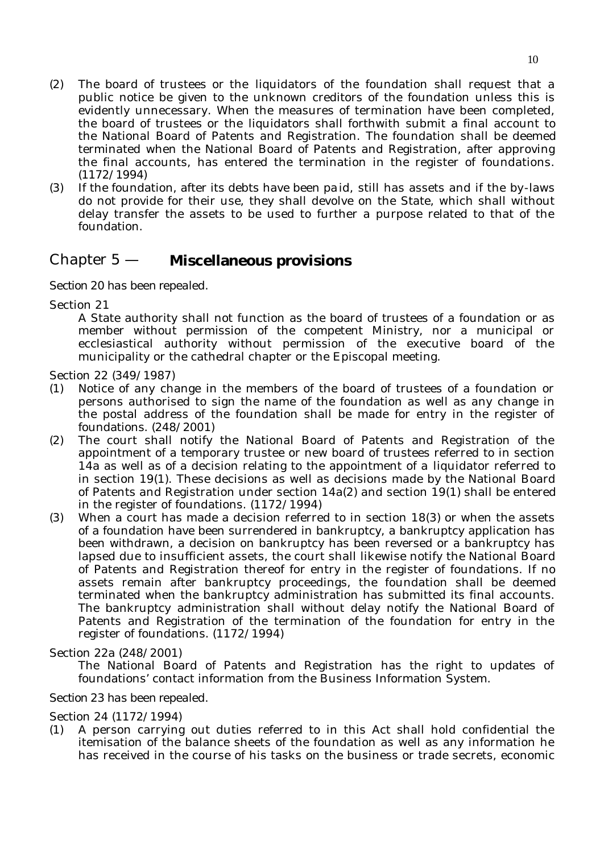- (2) The board of trustees or the liquidators of the foundation shall request that a public notice be given to the unknown creditors of the foundation unless this is evidently unnecessary. When the measures of termination have been completed, the board of trustees or the liquidators shall forthwith submit a final account to the National Board of Patents and Registration. The foundation shall be deemed terminated when the National Board of Patents and Registration, after approving the final accounts, has entered the termination in the register of foundations. (1172/1994)
- (3) If the foundation, after its debts have been paid, still has assets and if the by-laws do not provide for their use, they shall devolve on the State, which shall without delay transfer the assets to be used to further a purpose related to that of the foundation.

# Chapter 5 — **Miscellaneous provisions**

*Section 20 has been repealed.*

Section 21

A State authority shall not function as the board of trustees of a foundation or as member without permission of the competent Ministry, nor a municipal or ecclesiastical authority without permission of the executive board of the municipality or the cathedral chapter or the Episcopal meeting.

Section 22 (349/1987)

- (1) Notice of any change in the members of the board of trustees of a foundation or persons authorised to sign the name of the foundation as well as any change in the postal address of the foundation shall be made for entry in the register of foundations. (248/2001)
- (2) The court shall notify the National Board of Patents and Registration of the appointment of a temporary trustee or new board of trustees referred to in section 14a as well as of a decision relating to the appointment of a liquidator referred to in section 19(1). These decisions as well as decisions made by the National Board of Patents and Registration under section 14a(2) and section 19(1) shall be entered in the register of foundations. (1172/1994)
- (3) When a court has made a decision referred to in section 18(3) or when the assets of a foundation have been surrendered in bankruptcy, a bankruptcy application has been withdrawn, a decision on bankruptcy has been reversed or a bankruptcy has lapsed due to insufficient assets, the court shall likewise notify the National Board of Patents and Registration thereof for entry in the register of foundations. If no assets remain after bankruptcy proceedings, the foundation shall be deemed terminated when the bankruptcy administration has submitted its final accounts. The bankruptcy administration shall without delay notify the National Board of Patents and Registration of the termination of the foundation for entry in the register of foundations. (1172/1994)

#### Section 22a (248/2001)

The National Board of Patents and Registration has the right to updates of foundations' contact information from the Business Information System.

# *Section 23 has been repealed.*

Section 24 (1172/1994)

(1) A person carrying out duties referred to in this Act shall hold confidential the itemisation of the balance sheets of the foundation as well as any information he has received in the course of his tasks on the business or trade secrets, economic